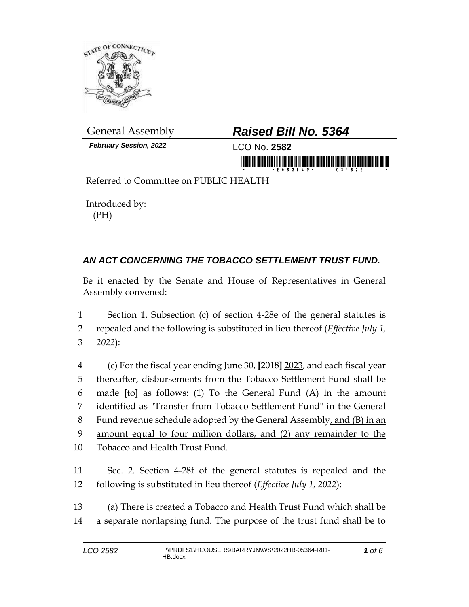

*February Session, 2022* LCO No. **2582**

## General Assembly *Raised Bill No. 5364*

in monoid is a state of the common state is a monoid

Referred to Committee on PUBLIC HEALTH

Introduced by: (PH)

## *AN ACT CONCERNING THE TOBACCO SETTLEMENT TRUST FUND.*

Be it enacted by the Senate and House of Representatives in General Assembly convened:

1 Section 1. Subsection (c) of section 4-28e of the general statutes is 2 repealed and the following is substituted in lieu thereof (*Effective July 1,*  3 *2022*):

 (c) For the fiscal year ending June 30, **[**2018**]** 2023, and each fiscal year thereafter, disbursements from the Tobacco Settlement Fund shall be made **[**to**]** as follows: (1) To the General Fund (A) in the amount identified as "Transfer from Tobacco Settlement Fund" in the General 8 Fund revenue schedule adopted by the General Assembly, and (B) in an amount equal to four million dollars, and (2) any remainder to the Tobacco and Health Trust Fund.

11 Sec. 2. Section 4-28f of the general statutes is repealed and the 12 following is substituted in lieu thereof (*Effective July 1, 2022*):

13 (a) There is created a Tobacco and Health Trust Fund which shall be 14 a separate nonlapsing fund. The purpose of the trust fund shall be to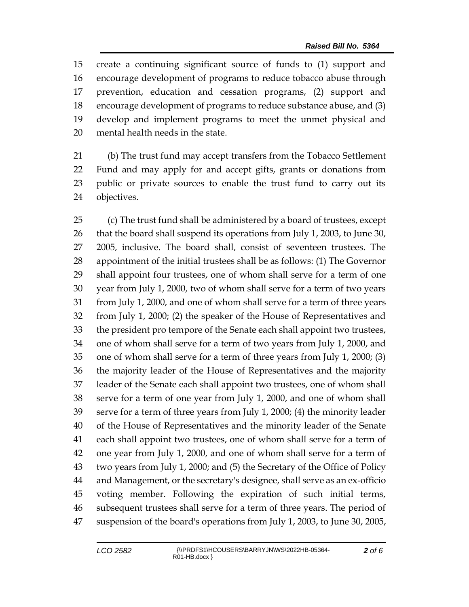create a continuing significant source of funds to (1) support and encourage development of programs to reduce tobacco abuse through prevention, education and cessation programs, (2) support and encourage development of programs to reduce substance abuse, and (3) develop and implement programs to meet the unmet physical and mental health needs in the state.

 (b) The trust fund may accept transfers from the Tobacco Settlement Fund and may apply for and accept gifts, grants or donations from public or private sources to enable the trust fund to carry out its objectives.

 (c) The trust fund shall be administered by a board of trustees, except that the board shall suspend its operations from July 1, 2003, to June 30, 2005, inclusive. The board shall, consist of seventeen trustees. The appointment of the initial trustees shall be as follows: (1) The Governor shall appoint four trustees, one of whom shall serve for a term of one year from July 1, 2000, two of whom shall serve for a term of two years from July 1, 2000, and one of whom shall serve for a term of three years from July 1, 2000; (2) the speaker of the House of Representatives and the president pro tempore of the Senate each shall appoint two trustees, one of whom shall serve for a term of two years from July 1, 2000, and one of whom shall serve for a term of three years from July 1, 2000; (3) the majority leader of the House of Representatives and the majority leader of the Senate each shall appoint two trustees, one of whom shall serve for a term of one year from July 1, 2000, and one of whom shall serve for a term of three years from July 1, 2000; (4) the minority leader of the House of Representatives and the minority leader of the Senate each shall appoint two trustees, one of whom shall serve for a term of one year from July 1, 2000, and one of whom shall serve for a term of two years from July 1, 2000; and (5) the Secretary of the Office of Policy and Management, or the secretary's designee, shall serve as an ex-officio voting member. Following the expiration of such initial terms, subsequent trustees shall serve for a term of three years. The period of suspension of the board's operations from July 1, 2003, to June 30, 2005,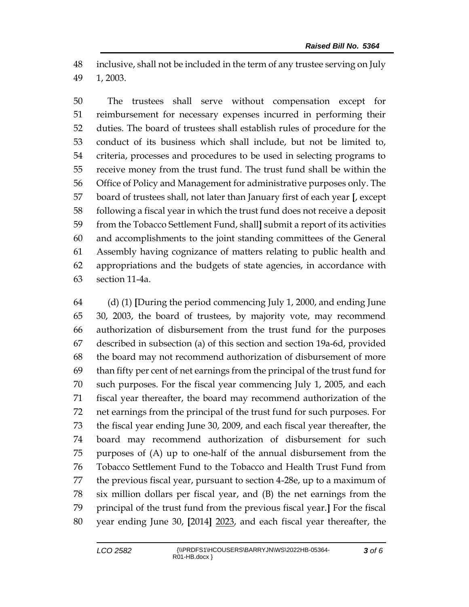inclusive, shall not be included in the term of any trustee serving on July 1, 2003.

 The trustees shall serve without compensation except for reimbursement for necessary expenses incurred in performing their duties. The board of trustees shall establish rules of procedure for the conduct of its business which shall include, but not be limited to, criteria, processes and procedures to be used in selecting programs to receive money from the trust fund. The trust fund shall be within the Office of Policy and Management for administrative purposes only. The board of trustees shall, not later than January first of each year **[**, except following a fiscal year in which the trust fund does not receive a deposit from the Tobacco Settlement Fund, shall**]** submit a report of its activities and accomplishments to the joint standing committees of the General Assembly having cognizance of matters relating to public health and appropriations and the budgets of state agencies, in accordance with section 11-4a.

 (d) (1) **[**During the period commencing July 1, 2000, and ending June 30, 2003, the board of trustees, by majority vote, may recommend authorization of disbursement from the trust fund for the purposes described in subsection (a) of this section and section 19a-6d, provided the board may not recommend authorization of disbursement of more than fifty per cent of net earnings from the principal of the trust fund for such purposes. For the fiscal year commencing July 1, 2005, and each fiscal year thereafter, the board may recommend authorization of the net earnings from the principal of the trust fund for such purposes. For the fiscal year ending June 30, 2009, and each fiscal year thereafter, the board may recommend authorization of disbursement for such purposes of (A) up to one-half of the annual disbursement from the Tobacco Settlement Fund to the Tobacco and Health Trust Fund from the previous fiscal year, pursuant to section 4-28e, up to a maximum of six million dollars per fiscal year, and (B) the net earnings from the principal of the trust fund from the previous fiscal year.**]** For the fiscal year ending June 30, **[**2014**]** 2023, and each fiscal year thereafter, the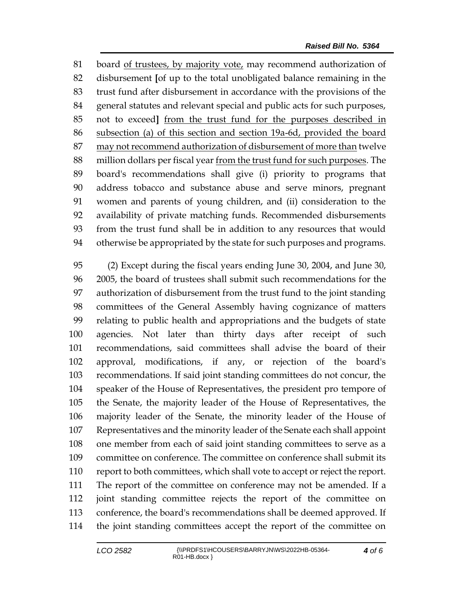board of trustees, by majority vote, may recommend authorization of disbursement **[**of up to the total unobligated balance remaining in the trust fund after disbursement in accordance with the provisions of the general statutes and relevant special and public acts for such purposes, not to exceed**]** from the trust fund for the purposes described in subsection (a) of this section and section 19a-6d, provided the board may not recommend authorization of disbursement of more than twelve million dollars per fiscal year from the trust fund for such purposes. The board's recommendations shall give (i) priority to programs that address tobacco and substance abuse and serve minors, pregnant women and parents of young children, and (ii) consideration to the availability of private matching funds. Recommended disbursements from the trust fund shall be in addition to any resources that would otherwise be appropriated by the state for such purposes and programs.

 (2) Except during the fiscal years ending June 30, 2004, and June 30, 2005, the board of trustees shall submit such recommendations for the authorization of disbursement from the trust fund to the joint standing committees of the General Assembly having cognizance of matters relating to public health and appropriations and the budgets of state agencies. Not later than thirty days after receipt of such recommendations, said committees shall advise the board of their approval, modifications, if any, or rejection of the board's recommendations. If said joint standing committees do not concur, the speaker of the House of Representatives, the president pro tempore of the Senate, the majority leader of the House of Representatives, the majority leader of the Senate, the minority leader of the House of Representatives and the minority leader of the Senate each shall appoint one member from each of said joint standing committees to serve as a committee on conference. The committee on conference shall submit its report to both committees, which shall vote to accept or reject the report. The report of the committee on conference may not be amended. If a joint standing committee rejects the report of the committee on conference, the board's recommendations shall be deemed approved. If the joint standing committees accept the report of the committee on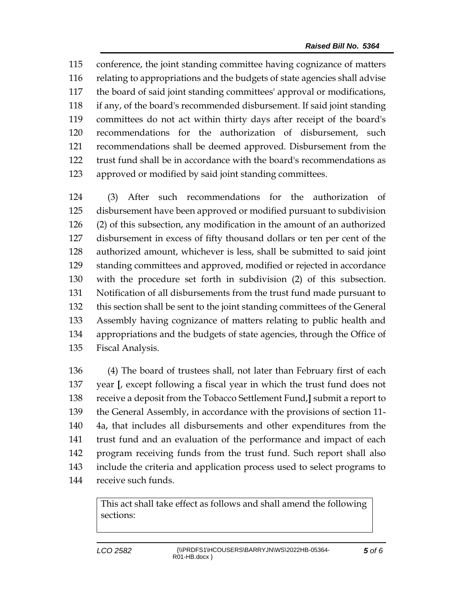conference, the joint standing committee having cognizance of matters relating to appropriations and the budgets of state agencies shall advise the board of said joint standing committees' approval or modifications, if any, of the board's recommended disbursement. If said joint standing committees do not act within thirty days after receipt of the board's recommendations for the authorization of disbursement, such recommendations shall be deemed approved. Disbursement from the trust fund shall be in accordance with the board's recommendations as approved or modified by said joint standing committees.

 (3) After such recommendations for the authorization of disbursement have been approved or modified pursuant to subdivision (2) of this subsection, any modification in the amount of an authorized disbursement in excess of fifty thousand dollars or ten per cent of the authorized amount, whichever is less, shall be submitted to said joint standing committees and approved, modified or rejected in accordance with the procedure set forth in subdivision (2) of this subsection. Notification of all disbursements from the trust fund made pursuant to this section shall be sent to the joint standing committees of the General Assembly having cognizance of matters relating to public health and appropriations and the budgets of state agencies, through the Office of Fiscal Analysis.

 (4) The board of trustees shall, not later than February first of each year **[**, except following a fiscal year in which the trust fund does not receive a deposit from the Tobacco Settlement Fund,**]** submit a report to the General Assembly, in accordance with the provisions of section 11- 4a, that includes all disbursements and other expenditures from the trust fund and an evaluation of the performance and impact of each program receiving funds from the trust fund. Such report shall also include the criteria and application process used to select programs to receive such funds.

> This act shall take effect as follows and shall amend the following sections: